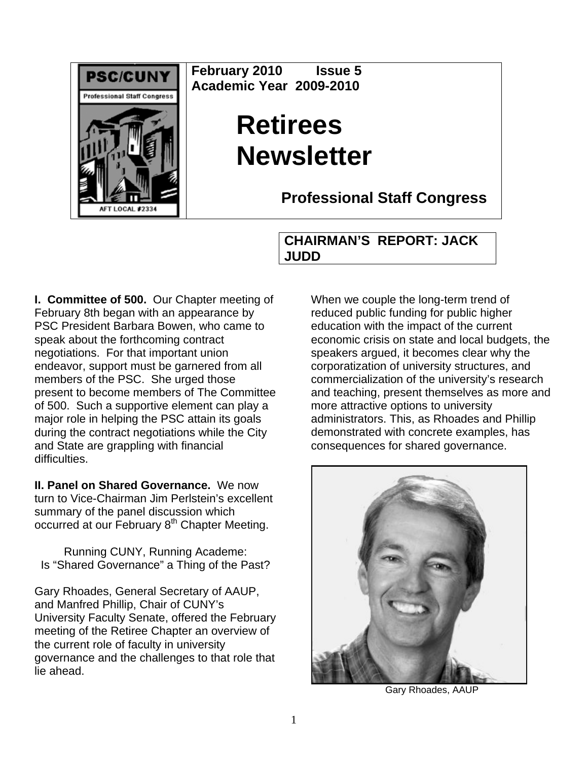

**February 2010 Issue 5 Academic Year 2009-2010** 

# **Retirees Newsletter**

**Professional Staff Congress**

### **CHAIRMAN'S REPORT: JACK JUDD**

**I. Committee of 500.** Our Chapter meeting of February 8th began with an appearance by PSC President Barbara Bowen, who came to speak about the forthcoming contract negotiations. For that important union endeavor, support must be garnered from all members of the PSC. She urged those present to become members of The Committee of 500. Such a supportive element can play a major role in helping the PSC attain its goals during the contract negotiations while the City and State are grappling with financial difficulties.

**II. Panel on Shared Governance.** We now turn to Vice-Chairman Jim Perlstein's excellent summary of the panel discussion which occurred at our February 8<sup>th</sup> Chapter Meeting.

Running CUNY, Running Academe: Is "Shared Governance" a Thing of the Past?

Gary Rhoades, General Secretary of AAUP, and Manfred Phillip, Chair of CUNY's University Faculty Senate, offered the February meeting of the Retiree Chapter an overview of the current role of faculty in university governance and the challenges to that role that lie ahead.

When we couple the long-term trend of reduced public funding for public higher education with the impact of the current economic crisis on state and local budgets, the speakers argued, it becomes clear why the corporatization of university structures, and commercialization of the university's research and teaching, present themselves as more and more attractive options to university administrators. This, as Rhoades and Phillip demonstrated with concrete examples, has consequences for shared governance.



Gary Rhoades, AAUP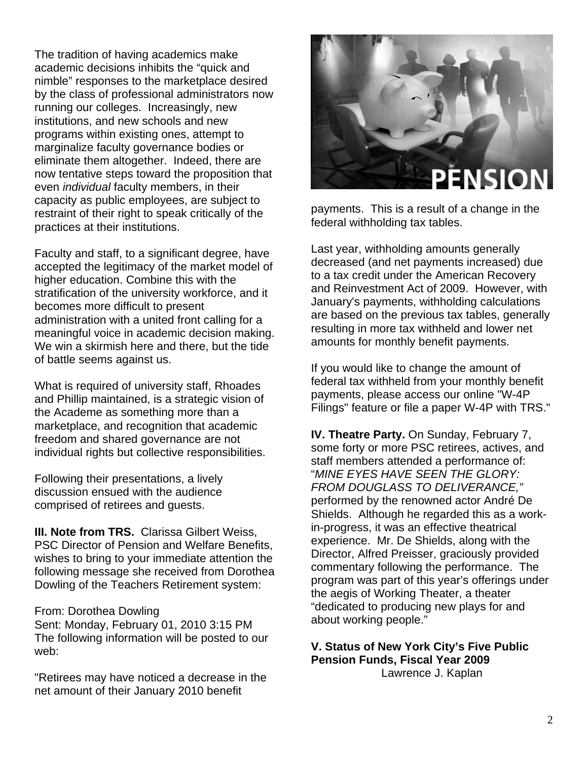The tradition of having academics make academic decisions inhibits the "quick and nimble" responses to the marketplace desired by the class of professional administrators now running our colleges. Increasingly, new institutions, and new schools and new programs within existing ones, attempt to marginalize faculty governance bodies or eliminate them altogether. Indeed, there are now tentative steps toward the proposition that even *individual* faculty members, in their capacity as public employees, are subject to restraint of their right to speak critically of the practices at their institutions.

Faculty and staff, to a significant degree, have accepted the legitimacy of the market model of higher education. Combine this with the stratification of the university workforce, and it becomes more difficult to present administration with a united front calling for a meaningful voice in academic decision making. We win a skirmish here and there, but the tide of battle seems against us.

What is required of university staff, Rhoades and Phillip maintained, is a strategic vision of the Academe as something more than a marketplace, and recognition that academic freedom and shared governance are not individual rights but collective responsibilities.

Following their presentations, a lively discussion ensued with the audience comprised of retirees and guests.

**III. Note from TRS.** Clarissa Gilbert Weiss, PSC Director of Pension and Welfare Benefits, wishes to bring to your immediate attention the following message she received from Dorothea Dowling of the Teachers Retirement system:

#### From: Dorothea Dowling

Sent: Monday, February 01, 2010 3:15 PM The following information will be posted to our web:

"Retirees may have noticed a decrease in the net amount of their January 2010 benefit



payments. This is a result of a change in the federal withholding tax tables.

Last year, withholding amounts generally decreased (and net payments increased) due to a tax credit under the American Recovery and Reinvestment Act of 2009. However, with January's payments, withholding calculations are based on the previous tax tables, generally resulting in more tax withheld and lower net amounts for monthly benefit payments.

If you would like to change the amount of federal tax withheld from your monthly benefit payments, please access our online "W-4P Filings" feature or file a paper W-4P with TRS."

**IV. Theatre Party.** On Sunday, February 7, some forty or more PSC retirees, actives, and staff members attended a performance of: "*MINE EYES HAVE SEEN THE GLORY: FROM DOUGLASS TO DELIVERANCE,"*  performed by the renowned actor André De Shields. Although he regarded this as a workin-progress, it was an effective theatrical experience. Mr. De Shields, along with the Director, Alfred Preisser, graciously provided commentary following the performance. The program was part of this year's offerings under the aegis of Working Theater, a theater "dedicated to producing new plays for and about working people."

#### **V. Status of New York City's Five Public Pension Funds, Fiscal Year 2009**

Lawrence J. Kaplan